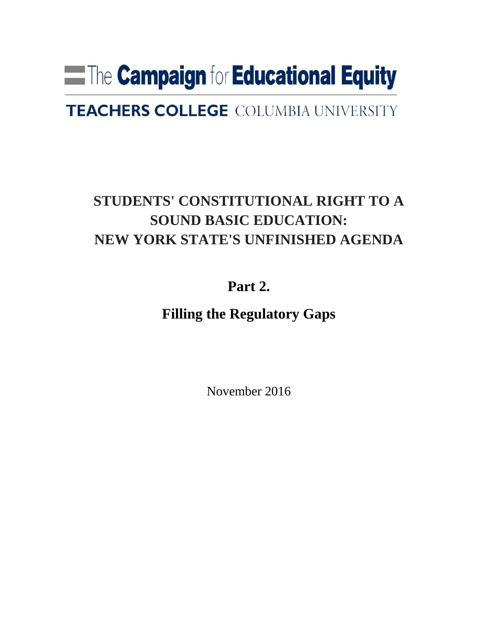# **Example of Educational Equity**

# **TEACHERS COLLEGE COLUMBIA UNIVERSITY**

# **STUDENTS' CONSTITUTIONAL RIGHT TO A SOUND BASIC EDUCATION: NEW YORK STATE'S UNFINISHED AGENDA**

## **Part 2.**

### **Filling the Regulatory Gaps**

November 2016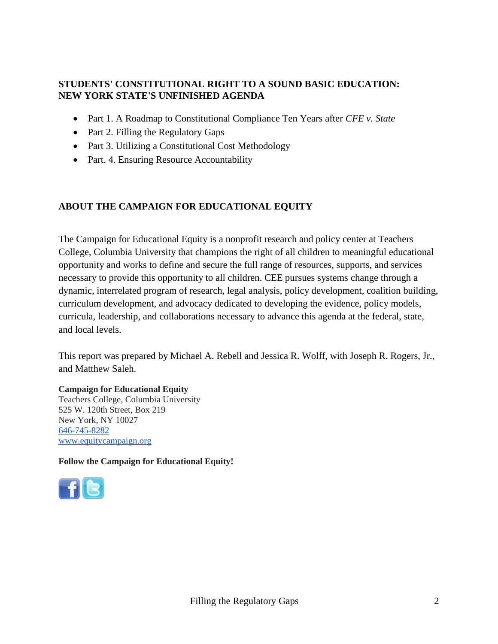#### **STUDENTS' CONSTITUTIONAL RIGHT TO A SOUND BASIC EDUCATION: NEW YORK STATE'S UNFINISHED AGENDA**

- Part 1. A Roadmap to Constitutional Compliance Ten Years after *CFE v. State*
- Part 2. Filling the Regulatory Gaps
- Part 3. Utilizing a Constitutional Cost Methodology
- Part. 4. Ensuring Resource Accountability

### **ABOUT THE CAMPAIGN FOR EDUCATIONAL EQUITY**

The Campaign for Educational Equity is a nonprofit research and policy center at Teachers College, Columbia University that champions the right of all children to meaningful educational opportunity and works to define and secure the full range of resources, supports, and services necessary to provide this opportunity to all children. CEE pursues systems change through a dynamic, interrelated program of research, legal analysis, policy development, coalition building, curriculum development, and advocacy dedicated to developing the evidence, policy models, curricula, leadership, and collaborations necessary to advance this agenda at the federal, state, and local levels.

This report was prepared by Michael A. Rebell and Jessica R. Wolff, with Joseph R. Rogers, Jr., and Matthew Saleh.

**Campaign for Educational Equity** Teachers College, Columbia University 525 W. 120th Street, Box 219 New York, NY 10027 646-745-8282 [www.equitycampaign.org](http://www.equitycampaign.org/)

**Follow the Campaign for Educational Equity!**

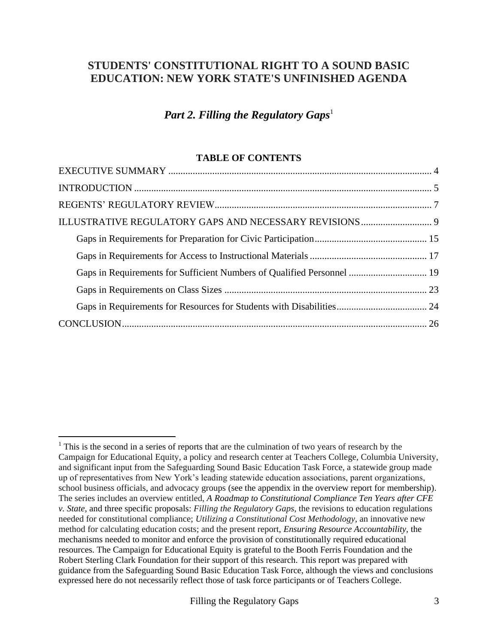### **STUDENTS' CONSTITUTIONAL RIGHT TO A SOUND BASIC EDUCATION: NEW YORK STATE'S UNFINISHED AGENDA**

### *Part 2. Filling the Regulatory Gaps*<sup>1</sup>

#### **TABLE OF CONTENTS**

| Gaps in Requirements for Sufficient Numbers of Qualified Personnel  19 |  |
|------------------------------------------------------------------------|--|
|                                                                        |  |
|                                                                        |  |
|                                                                        |  |
|                                                                        |  |

 $<sup>1</sup>$  This is the second in a series of reports that are the culmination of two years of research by the</sup> Campaign for Educational Equity, a policy and research center at Teachers College, Columbia University, and significant input from the Safeguarding Sound Basic Education Task Force, a statewide group made up of representatives from New York's leading statewide education associations, parent organizations, school business officials, and advocacy groups (see the appendix in the overview report for membership). The series includes an overview entitled, *A Roadmap to Constitutional Compliance Ten Years after CFE v. State,* and three specific proposals: *Filling the Regulatory Gaps,* the revisions to education regulations needed for constitutional compliance; *Utilizing a Constitutional Cost Methodology*, an innovative new method for calculating education costs; and the present report, *Ensuring Resource Accountability,* the mechanisms needed to monitor and enforce the provision of constitutionally required educational resources. The Campaign for Educational Equity is grateful to the Booth Ferris Foundation and the Robert Sterling Clark Foundation for their support of this research. This report was prepared with guidance from the Safeguarding Sound Basic Education Task Force, although the views and conclusions expressed here do not necessarily reflect those of task force participants or of Teachers College.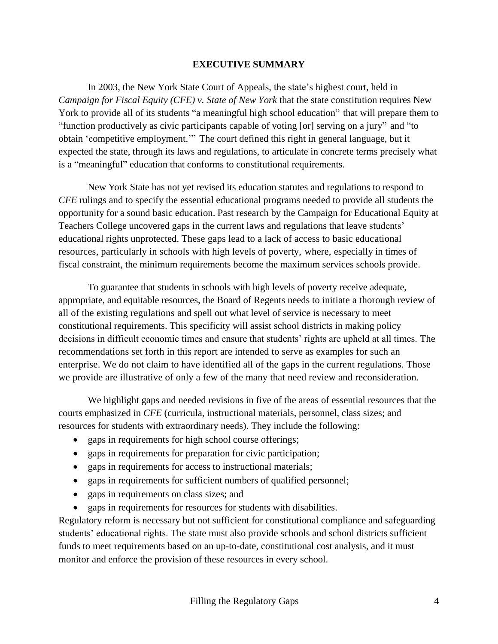#### **EXECUTIVE SUMMARY**

In 2003, the New York State Court of Appeals, the state's highest court, held in *Campaign for Fiscal Equity (CFE) v. State of New York* that the state constitution requires New York to provide all of its students "a meaningful high school education" that will prepare them to "function productively as civic participants capable of voting [or] serving on a jury" and "to obtain 'competitive employment.'" The court defined this right in general language, but it expected the state, through its laws and regulations, to articulate in concrete terms precisely what is a "meaningful" education that conforms to constitutional requirements.

New York State has not yet revised its education statutes and regulations to respond to *CFE* rulings and to specify the essential educational programs needed to provide all students the opportunity for a sound basic education. Past research by the Campaign for Educational Equity at Teachers College uncovered gaps in the current laws and regulations that leave students' educational rights unprotected. These gaps lead to a lack of access to basic educational resources, particularly in schools with high levels of poverty, where, especially in times of fiscal constraint, the minimum requirements become the maximum services schools provide.

To guarantee that students in schools with high levels of poverty receive adequate, appropriate, and equitable resources, the Board of Regents needs to initiate a thorough review of all of the existing regulations and spell out what level of service is necessary to meet constitutional requirements. This specificity will assist school districts in making policy decisions in difficult economic times and ensure that students' rights are upheld at all times. The recommendations set forth in this report are intended to serve as examples for such an enterprise. We do not claim to have identified all of the gaps in the current regulations. Those we provide are illustrative of only a few of the many that need review and reconsideration.

We highlight gaps and needed revisions in five of the areas of essential resources that the courts emphasized in *CFE* (curricula, instructional materials, personnel, class sizes; and resources for students with extraordinary needs). They include the following:

- gaps in requirements for high school course offerings;
- gaps in requirements for preparation for civic participation;
- gaps in requirements for access to instructional materials;
- gaps in requirements for sufficient numbers of qualified personnel;
- gaps in requirements on class sizes; and
- gaps in requirements for resources for students with disabilities.

Regulatory reform is necessary but not sufficient for constitutional compliance and safeguarding students' educational rights. The state must also provide schools and school districts sufficient funds to meet requirements based on an up-to-date, constitutional cost analysis, and it must monitor and enforce the provision of these resources in every school.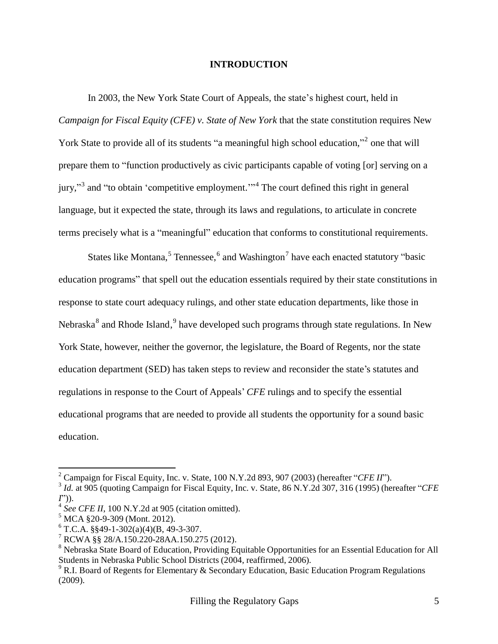#### **INTRODUCTION**

In 2003, the New York State Court of Appeals, the state's highest court, held in *Campaign for Fiscal Equity (CFE) v. State of New York* that the state constitution requires New York State to provide all of its students "a meaningful high school education,"<sup>2</sup> one that will prepare them to "function productively as civic participants capable of voting [or] serving on a jury,"<sup>3</sup> and "to obtain 'competitive employment."<sup>4</sup> The court defined this right in general language, but it expected the state, through its laws and regulations, to articulate in concrete terms precisely what is a "meaningful" education that conforms to constitutional requirements.

States like Montana,<sup>5</sup> Tennessee,<sup>6</sup> and Washington<sup>7</sup> have each enacted statutory "basic education programs" that spell out the education essentials required by their state constitutions in response to state court adequacy rulings, and other state education departments, like those in Nebraska<sup>8</sup> and Rhode Island, <sup>9</sup> have developed such programs through state regulations. In New York State, however, neither the governor, the legislature, the Board of Regents, nor the state education department (SED) has taken steps to review and reconsider the state's statutes and regulations in response to the Court of Appeals' *CFE* rulings and to specify the essential educational programs that are needed to provide all students the opportunity for a sound basic education.

<sup>&</sup>lt;sup>2</sup> Campaign for Fiscal Equity, Inc. v. State,  $100 \text{ N.Y.2d } 893, 907 (2003)$  (hereafter "*CFE II*").

<sup>&</sup>lt;sup>3</sup> *Id.* at 905 (quoting Campaign for Fiscal Equity, Inc. v. State, 86 N.Y.2d 307, 316 (1995) (hereafter "CFE *I*‖)).

<sup>4</sup> *See CFE II*, 100 N.Y.2d at 905 (citation omitted).

 $5$  MCA  $\S 20$ -9-309 (Mont. 2012).

 $6$  T.C.A. §§49-1-302(a)(4)(B, 49-3-307.

 $7$  RCWA §§ 28/A.150.220-28AA.150.275 (2012).

<sup>&</sup>lt;sup>8</sup> Nebraska State Board of Education, Providing Equitable Opportunities for an Essential Education for All Students in Nebraska Public School Districts (2004, reaffirmed, 2006).

 $9$  R.I. Board of Regents for Elementary & Secondary Education, Basic Education Program Regulations (2009).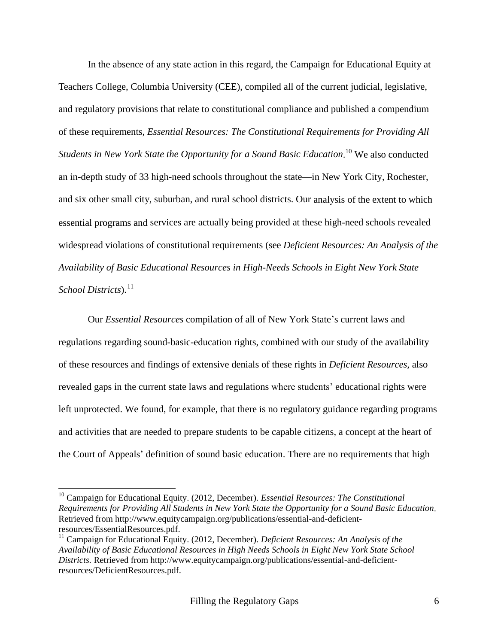In the absence of any state action in this regard, the Campaign for Educational Equity at Teachers College, Columbia University (CEE), compiled all of the current judicial, legislative, and regulatory provisions that relate to constitutional compliance and published a compendium of these requirements, *Essential Resources: The Constitutional Requirements for Providing All Students in New York State the Opportunity for a Sound Basic Education*. <sup>10</sup> We also conducted an in-depth study of 33 high-need schools throughout the state—in New York City, Rochester, and six other small city, suburban, and rural school districts. Our analysis of the extent to which essential programs and services are actually being provided at these high-need schools revealed widespread violations of constitutional requirements (see *Deficient Resources: An Analysis of the Availability of Basic Educational Resources in High-Needs Schools in Eight New York State School Districts*). 11

Our *Essential Resources* compilation of all of New York State's current laws and regulations regarding sound-basic-education rights, combined with our study of the availability of these resources and findings of extensive denials of these rights in *Deficient Resources,* also revealed gaps in the current state laws and regulations where students' educational rights were left unprotected. We found, for example, that there is no regulatory guidance regarding programs and activities that are needed to prepare students to be capable citizens, a concept at the heart of the Court of Appeals' definition of sound basic education. There are no requirements that high

<sup>10</sup> Campaign for Educational Equity. (2012, December). *Essential Resources: The Constitutional Requirements for Providing All Students in New York State the Opportunity for a Sound Basic Education*. Retrieved from http://www.equitycampaign.org/publications/essential-and-deficientresources/EssentialResources.pdf.

<sup>11</sup> Campaign for Educational Equity. (2012, December). *Deficient Resources: An Analysis of the Availability of Basic Educational Resources in High Needs Schools in Eight New York State School Districts.* Retrieved from http://www.equitycampaign.org/publications/essential-and-deficientresources/DeficientResources.pdf.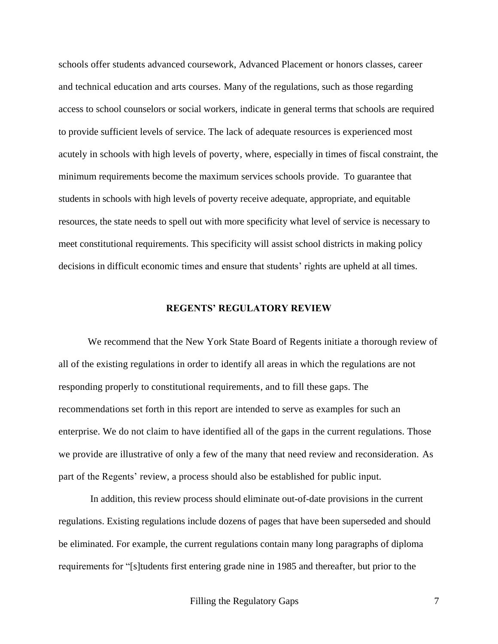schools offer students advanced coursework, Advanced Placement or honors classes, career and technical education and arts courses. Many of the regulations, such as those regarding access to school counselors or social workers, indicate in general terms that schools are required to provide sufficient levels of service. The lack of adequate resources is experienced most acutely in schools with high levels of poverty, where, especially in times of fiscal constraint, the minimum requirements become the maximum services schools provide. To guarantee that students in schools with high levels of poverty receive adequate, appropriate, and equitable resources, the state needs to spell out with more specificity what level of service is necessary to meet constitutional requirements. This specificity will assist school districts in making policy decisions in difficult economic times and ensure that students' rights are upheld at all times.

#### **REGENTS' REGULATORY REVIEW**

We recommend that the New York State Board of Regents initiate a thorough review of all of the existing regulations in order to identify all areas in which the regulations are not responding properly to constitutional requirements, and to fill these gaps. The recommendations set forth in this report are intended to serve as examples for such an enterprise. We do not claim to have identified all of the gaps in the current regulations. Those we provide are illustrative of only a few of the many that need review and reconsideration. As part of the Regents' review, a process should also be established for public input.

In addition, this review process should eliminate out-of-date provisions in the current regulations. Existing regulations include dozens of pages that have been superseded and should be eliminated. For example, the current regulations contain many long paragraphs of diploma requirements for "[s]tudents first entering grade nine in 1985 and thereafter, but prior to the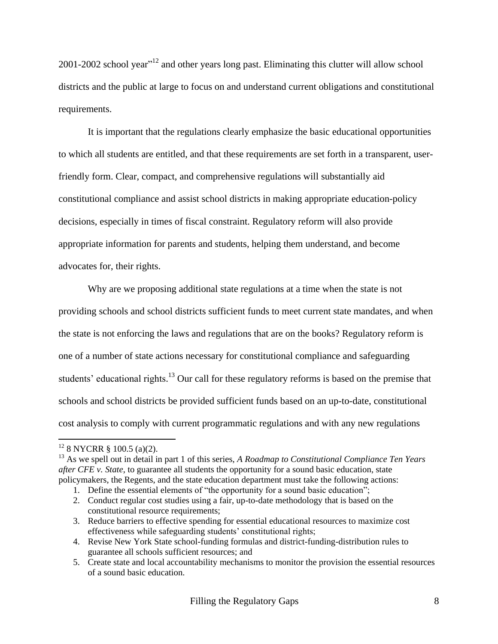$2001$ -2002 school year"<sup>12</sup> and other years long past. Eliminating this clutter will allow school districts and the public at large to focus on and understand current obligations and constitutional requirements.

It is important that the regulations clearly emphasize the basic educational opportunities to which all students are entitled, and that these requirements are set forth in a transparent, userfriendly form. Clear, compact, and comprehensive regulations will substantially aid constitutional compliance and assist school districts in making appropriate education-policy decisions, especially in times of fiscal constraint. Regulatory reform will also provide appropriate information for parents and students, helping them understand, and become advocates for, their rights.

Why are we proposing additional state regulations at a time when the state is not providing schools and school districts sufficient funds to meet current state mandates, and when the state is not enforcing the laws and regulations that are on the books? Regulatory reform is one of a number of state actions necessary for constitutional compliance and safeguarding students' educational rights.<sup>13</sup> Our call for these regulatory reforms is based on the premise that schools and school districts be provided sufficient funds based on an up-to-date, constitutional cost analysis to comply with current programmatic regulations and with any new regulations

 $12$  8 NYCRR § 100.5 (a)(2).

<sup>13</sup> As we spell out in detail in part 1 of this series, *A Roadmap to Constitutional Compliance Ten Years after CFE v. State*, to guarantee all students the opportunity for a sound basic education, state policymakers, the Regents, and the state education department must take the following actions:

<sup>1.</sup> Define the essential elements of "the opportunity for a sound basic education";

<sup>2.</sup> Conduct regular cost studies using a fair, up-to-date methodology that is based on the constitutional resource requirements;

<sup>3.</sup> Reduce barriers to effective spending for essential educational resources to maximize cost effectiveness while safeguarding students' constitutional rights;

<sup>4.</sup> Revise New York State school-funding formulas and district-funding-distribution rules to guarantee all schools sufficient resources; and

<sup>5.</sup> Create state and local accountability mechanisms to monitor the provision the essential resources of a sound basic education.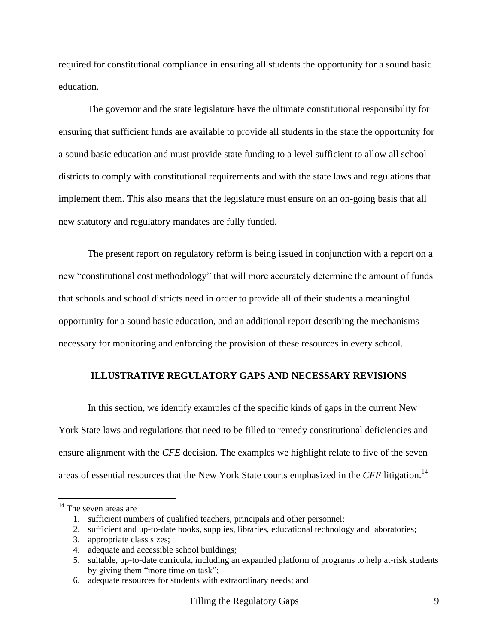required for constitutional compliance in ensuring all students the opportunity for a sound basic education.

The governor and the state legislature have the ultimate constitutional responsibility for ensuring that sufficient funds are available to provide all students in the state the opportunity for a sound basic education and must provide state funding to a level sufficient to allow all school districts to comply with constitutional requirements and with the state laws and regulations that implement them. This also means that the legislature must ensure on an on-going basis that all new statutory and regulatory mandates are fully funded.

The present report on regulatory reform is being issued in conjunction with a report on a new "constitutional cost methodology" that will more accurately determine the amount of funds that schools and school districts need in order to provide all of their students a meaningful opportunity for a sound basic education, and an additional report describing the mechanisms necessary for monitoring and enforcing the provision of these resources in every school.

#### **ILLUSTRATIVE REGULATORY GAPS AND NECESSARY REVISIONS**

In this section, we identify examples of the specific kinds of gaps in the current New York State laws and regulations that need to be filled to remedy constitutional deficiencies and ensure alignment with the *CFE* decision. The examples we highlight relate to five of the seven areas of essential resources that the New York State courts emphasized in the *CFE* litigation.<sup>14</sup>

<sup>&</sup>lt;sup>14</sup> The seven areas are

<sup>1.</sup> sufficient numbers of qualified teachers, principals and other personnel;

<sup>2.</sup> sufficient and up-to-date books, supplies, libraries, educational technology and laboratories;

<sup>3.</sup> appropriate class sizes;

<sup>4.</sup> adequate and accessible school buildings;

<sup>5.</sup> suitable, up-to-date curricula, including an expanded platform of programs to help at-risk students by giving them "more time on task";

<sup>6.</sup> adequate resources for students with extraordinary needs; and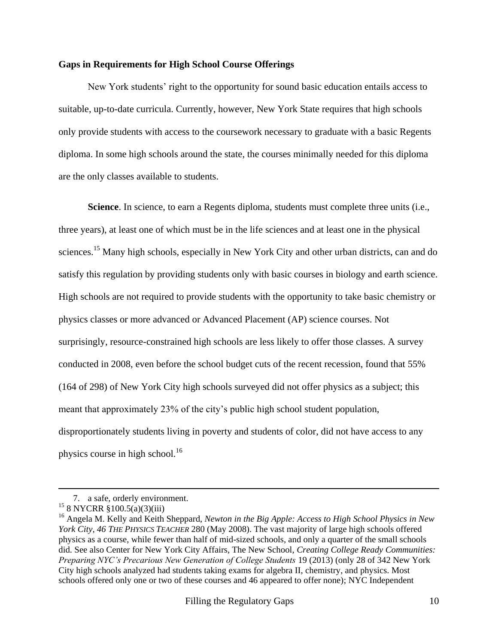#### **Gaps in Requirements for High School Course Offerings**

New York students' right to the opportunity for sound basic education entails access to suitable, up-to-date curricula. Currently, however, New York State requires that high schools only provide students with access to the coursework necessary to graduate with a basic Regents diploma. In some high schools around the state, the courses minimally needed for this diploma are the only classes available to students.

**Science**. In science, to earn a Regents diploma, students must complete three units (i.e., three years), at least one of which must be in the life sciences and at least one in the physical sciences.<sup>15</sup> Many high schools, especially in New York City and other urban districts, can and do satisfy this regulation by providing students only with basic courses in biology and earth science. High schools are not required to provide students with the opportunity to take basic chemistry or physics classes or more advanced or Advanced Placement (AP) science courses. Not surprisingly, resource-constrained high schools are less likely to offer those classes. A survey conducted in 2008, even before the school budget cuts of the recent recession, found that 55% (164 of 298) of New York City high schools surveyed did not offer physics as a subject; this meant that approximately 23% of the city's public high school student population, disproportionately students living in poverty and students of color, did not have access to any physics course in high school.<sup>16</sup>

<sup>7.</sup> a safe, orderly environment.

 $15$  8 NYCRR §100.5(a)(3)(iii)

<sup>16</sup> Angela M. Kelly and Keith Sheppard, *Newton in the Big Apple: Access to High School Physics in New York City, 46 THE PHYSICS TEACHER* 280 (May 2008). The vast majority of large high schools offered physics as a course, while fewer than half of mid-sized schools, and only a quarter of the small schools did. See also Center for New York City Affairs, The New School, *Creating College Ready Communities: Preparing NYC's Precarious New Generation of College Students* 19 (2013) (only 28 of 342 New York City high schools analyzed had students taking exams for algebra II, chemistry, and physics. Most schools offered only one or two of these courses and 46 appeared to offer none); NYC Independent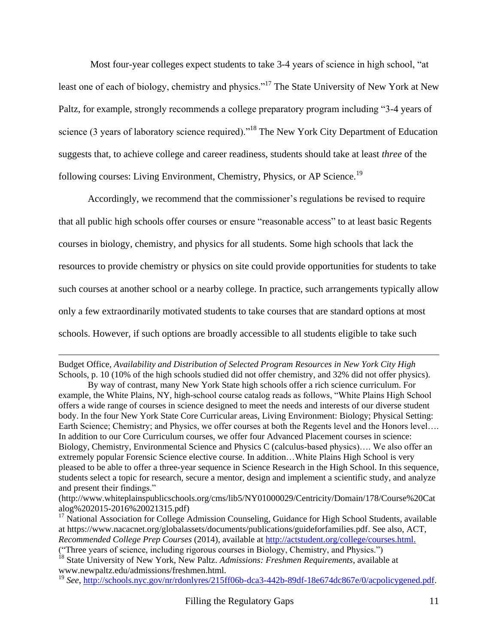Most four-year colleges expect students to take 3-4 years of science in high school, "at least one of each of biology, chemistry and physics."<sup>17</sup> The State University of New York at New Paltz, for example, strongly recommends a college preparatory program including "3-4 years of science (3 years of laboratory science required)."<sup>18</sup> The New York City Department of Education suggests that, to achieve college and career readiness, students should take at least *three* of the following courses: Living Environment, Chemistry, Physics, or AP Science.<sup>19</sup>

Accordingly, we recommend that the commissioner's regulations be revised to require that all public high schools offer courses or ensure "reasonable access" to at least basic Regents courses in biology, chemistry, and physics for all students. Some high schools that lack the resources to provide chemistry or physics on site could provide opportunities for students to take such courses at another school or a nearby college. In practice, such arrangements typically allow only a few extraordinarily motivated students to take courses that are standard options at most schools. However, if such options are broadly accessible to all students eligible to take such

Budget Office*, Availability and Distribution of Selected Program Resources in New York City High*  Schools, p. 10 (10% of the high schools studied did not offer chemistry, and 32% did not offer physics).

By way of contrast, many New York State high schools offer a rich science curriculum. For example, the White Plains, NY, high-school course catalog reads as follows, "White Plains High School offers a wide range of courses in science designed to meet the needs and interests of our diverse student body. In the four New York State Core Curricular areas, Living Environment: Biology; Physical Setting: Earth Science; Chemistry; and Physics, we offer courses at both the Regents level and the Honors level…. In addition to our Core Curriculum courses, we offer four Advanced Placement courses in science: Biology, Chemistry, Environmental Science and Physics C (calculus-based physics)…. We also offer an extremely popular Forensic Science elective course. In addition…White Plains High School is very pleased to be able to offer a three-year sequence in Science Research in the High School. In this sequence, students select a topic for research, secure a mentor, design and implement a scientific study, and analyze and present their findings."

<sup>(</sup>http://www.whiteplainspublicschools.org/cms/lib5/NY01000029/Centricity/Domain/178/Course%20Cat alog%202015-2016%20021315.pdf)

<sup>&</sup>lt;sup>17</sup> National Association for College Admission Counseling, Guidance for High School Students, available at https://www.nacacnet.org/globalassets/documents/publications/guideforfamilies.pdf. See also, ACT, *Recommended College Prep Courses* (2014), available at [http://actstudent.org/college/courses.html.](http://actstudent.org/college/courses.html)

<sup>(&</sup>quot;Three years of science, including rigorous courses in Biology, Chemistry, and Physics.")

<sup>18</sup> State University of New York, New Paltz. *Admissions: Freshmen Requirements*, available at www.newpaltz.edu/admissions/freshmen.html.

<sup>&</sup>lt;sup>19</sup> See, [http://schools.nyc.gov/nr/rdonlyres/215ff06b-dca3-442b-89df-18e674dc867e/0/acpolicygened.pdf.](http://schools.nyc.gov/nr/rdonlyres/215ff06b-dca3-442b-89df-18e674dc867e/0/acpolicygened.pdf)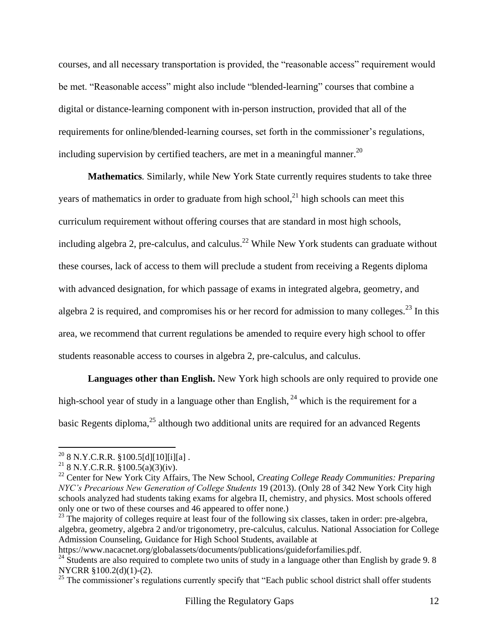courses, and all necessary transportation is provided, the "reasonable access" requirement would be met. "Reasonable access" might also include "blended-learning" courses that combine a digital or distance-learning component with in-person instruction, provided that all of the requirements for online/blended-learning courses, set forth in the commissioner's regulations, including supervision by certified teachers, are met in a meaningful manner.<sup>20</sup>

**Mathematics***.* Similarly*,* while New York State currently requires students to take three years of mathematics in order to graduate from high school,<sup>21</sup> high schools can meet this curriculum requirement without offering courses that are standard in most high schools, including algebra 2, pre-calculus, and calculus.<sup>22</sup> While New York students can graduate without these courses, lack of access to them will preclude a student from receiving a Regents diploma with advanced designation, for which passage of exams in integrated algebra, geometry, and algebra 2 is required, and compromises his or her record for admission to many colleges.<sup>23</sup> In this area, we recommend that current regulations be amended to require every high school to offer students reasonable access to courses in algebra 2, pre-calculus, and calculus.

**Languages other than English.** New York high schools are only required to provide one high-school year of study in a language other than English,  $^{24}$  which is the requirement for a basic Regents diploma,<sup>25</sup> although two additional units are required for an advanced Regents

 $\overline{a}$ 

 $^{20}$  8 N.Y.C.R.R. §100.5[d][10][i][a].

<sup>&</sup>lt;sup>21</sup> 8 N.Y.C.R.R. §100.5(a)(3)(iv).

<sup>22</sup> Center for New York City Affairs, The New School, *Creating College Ready Communities: Preparing NYC's Precarious New Generation of College Students* 19 (2013). (Only 28 of 342 New York City high schools analyzed had students taking exams for algebra II, chemistry, and physics. Most schools offered only one or two of these courses and 46 appeared to offer none.)

 $^{23}$  The majority of colleges require at least four of the following six classes, taken in order: pre-algebra, algebra, geometry, algebra 2 and/or trigonometry, pre-calculus, calculus. National Association for College Admission Counseling, Guidance for High School Students, available at

https://www.nacacnet.org/globalassets/documents/publications/guideforfamilies.pdf.

 $24$  Students are also required to complete two units of study in a language other than English by grade 9.8 NYCRR §100.2(d)(1)-(2).

<sup>&</sup>lt;sup>25</sup> The commissioner's regulations currently specify that "Each public school district shall offer students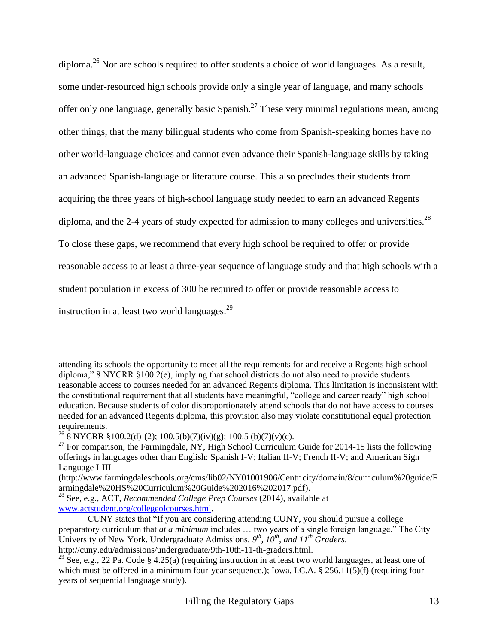diploma.<sup>26</sup> Nor are schools required to offer students a choice of world languages. As a result, some under-resourced high schools provide only a single year of language, and many schools offer only one language, generally basic Spanish.<sup>27</sup> These very minimal regulations mean, among other things, that the many bilingual students who come from Spanish-speaking homes have no other world-language choices and cannot even advance their Spanish-language skills by taking an advanced Spanish-language or literature course. This also precludes their students from acquiring the three years of high-school language study needed to earn an advanced Regents diploma, and the 2-4 years of study expected for admission to many colleges and universities.<sup>28</sup> To close these gaps, we recommend that every high school be required to offer or provide reasonable access to at least a three-year sequence of language study and that high schools with a student population in excess of 300 be required to offer or provide reasonable access to instruction in at least two world languages. $^{29}$ 

attending its schools the opportunity to meet all the requirements for and receive a Regents high school diploma," 8 NYCRR  $\S 100.2$ (e), implying that school districts do not also need to provide students reasonable access to courses needed for an advanced Regents diploma. This limitation is inconsistent with the constitutional requirement that all students have meaningful, "college and career ready" high school education. Because students of color disproportionately attend schools that do not have access to courses needed for an advanced Regents diploma, this provision also may violate constitutional equal protection requirements.

<sup>&</sup>lt;sup>26</sup> 8 NYCRR §100.2(d)-(2); 100.5(b)(7)(iv)(g); 100.5 (b)(7)(v)(c).

 $^{27}$  For comparison, the Farmingdale, NY, High School Curriculum Guide for 2014-15 lists the following offerings in languages other than English: Spanish I-V; Italian II-V; French II-V; and American Sign Language I-III

<sup>(</sup>http://www.farmingdaleschools.org/cms/lib02/NY01001906/Centricity/domain/8/curriculum%20guide/F armingdale%20HS%20Curriculum%20Guide%202016%202017.pdf).

<sup>28</sup> See, e.g., ACT, *Recommended College Prep Courses* (2014), available at [www.actstudent.org/collegeolcourses.html.](http://www.actstudent.org/college/courses.html)

CUNY states that "If you are considering attending CUNY, you should pursue a college preparatory curriculum that *at a minimum* includes ... two years of a single foreign language." The City University of New York. Undergraduate Admissions.  $9^{th}$ ,  $10^{th}$ , and  $11^{th}$  Graders. http://cuny.edu/admissions/undergraduate/9th-10th-11-th-graders.html.

<sup>&</sup>lt;sup>29</sup> See, e.g., 22 Pa. Code § 4.25(a) (requiring instruction in at least two world languages, at least one of which must be offered in a minimum four-year sequence.); Iowa, I.C.A.  $\S 256.11(5)(f)$  (requiring four years of sequential language study).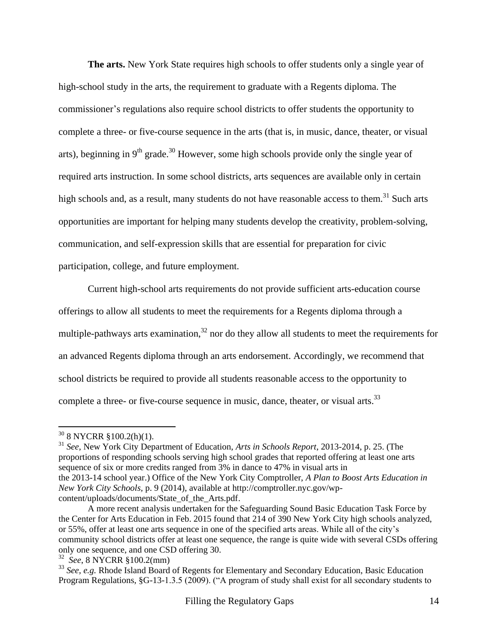**The arts.** New York State requires high schools to offer students only a single year of high-school study in the arts, the requirement to graduate with a Regents diploma. The commissioner's regulations also require school districts to offer students the opportunity to complete a three- or five-course sequence in the arts (that is, in music, dance, theater, or visual arts), beginning in  $9<sup>th</sup>$  grade.<sup>30</sup> However, some high schools provide only the single year of required arts instruction. In some school districts, arts sequences are available only in certain high schools and, as a result, many students do not have reasonable access to them. $31$  Such arts opportunities are important for helping many students develop the creativity, problem-solving, communication, and self-expression skills that are essential for preparation for civic participation, college, and future employment.

Current high-school arts requirements do not provide sufficient arts-education course offerings to allow all students to meet the requirements for a Regents diploma through a multiple-pathways arts examination,  $32$  nor do they allow all students to meet the requirements for an advanced Regents diploma through an arts endorsement. Accordingly, we recommend that school districts be required to provide all students reasonable access to the opportunity to complete a three- or five-course sequence in music, dance, theater, or visual arts.<sup>33</sup>

 $\overline{\phantom{a}}$ 

<sup>31</sup> *See*, New York City Department of Education, *Arts in Schools Report*, 2013-2014, p. 25. (The proportions of responding schools serving high school grades that reported offering at least one arts sequence of six or more credits ranged from 3% in dance to 47% in visual arts in the 2013-14 school year.) Office of the New York City Comptroller, *A Plan to Boost Arts Education in New York City Schools,* p. 9 (2014), available at http://comptroller.nyc.gov/wpcontent/uploads/documents/State\_of\_the\_Arts.pdf.

 $30$  8 NYCRR §100.2(h)(1).

A more recent analysis undertaken for the Safeguarding Sound Basic Education Task Force by the Center for Arts Education in Feb. 2015 found that 214 of 390 New York City high schools analyzed, or 55%, offer at least one arts sequence in one of the specified arts areas. While all of the city's community school districts offer at least one sequence, the range is quite wide with several CSDs offering only one sequence, and one CSD offering 30.

<sup>32</sup> *See*, 8 NYCRR §100.2(mm)

<sup>33</sup> *See, e.g.* Rhode Island Board of Regents for Elementary and Secondary Education, Basic Education Program Regulations, §G-13-1.3.5 (2009). ("A program of study shall exist for all secondary students to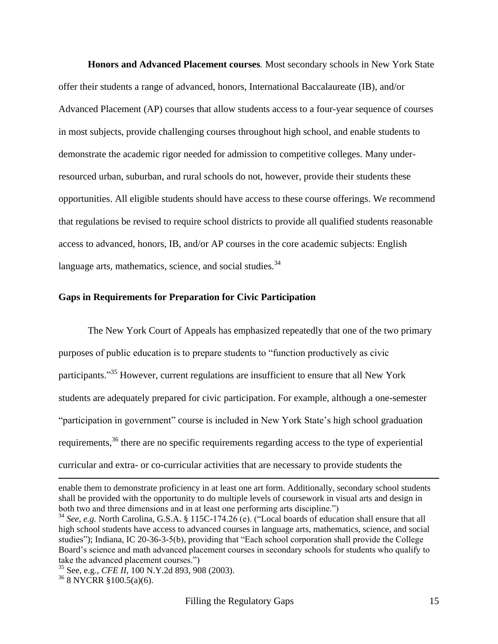**Honors and Advanced Placement courses***.* Most secondary schools in New York State offer their students a range of advanced, honors, International Baccalaureate (IB), and/or Advanced Placement (AP) courses that allow students access to a four-year sequence of courses in most subjects, provide challenging courses throughout high school, and enable students to demonstrate the academic rigor needed for admission to competitive colleges. Many underresourced urban, suburban, and rural schools do not, however, provide their students these opportunities. All eligible students should have access to these course offerings. We recommend that regulations be revised to require school districts to provide all qualified students reasonable access to advanced, honors, IB, and/or AP courses in the core academic subjects: English language arts, mathematics, science, and social studies. $34$ 

#### **Gaps in Requirements for Preparation for Civic Participation**

The New York Court of Appeals has emphasized repeatedly that one of the two primary purposes of public education is to prepare students to "function productively as civic participants."<sup>35</sup> However, current regulations are insufficient to ensure that all New York students are adequately prepared for civic participation. For example, although a one-semester "participation in government" course is included in New York State's high school graduation requirements,<sup>36</sup> there are no specific requirements regarding access to the type of experiential curricular and extra- or co-curricular activities that are necessary to provide students the

 $\overline{a}$ 

enable them to demonstrate proficiency in at least one art form. Additionally, secondary school students shall be provided with the opportunity to do multiple levels of coursework in visual arts and design in both two and three dimensions and in at least one performing arts discipline.")

 $34$  *See, e.g.* North Carolina, G.S.A. § 115C-174.26 (e). ("Local boards of education shall ensure that all high school students have access to advanced courses in language arts, mathematics, science, and social studies"); Indiana, IC 20-36-3-5(b), providing that "Each school corporation shall provide the College Board's science and math advanced placement courses in secondary schools for students who qualify to take the advanced placement courses.")

<sup>35</sup> See, e.g., *CFE II*, 100 N.Y.2d 893, 908 (2003).

<sup>36</sup> 8 NYCRR §100.5(a)(6).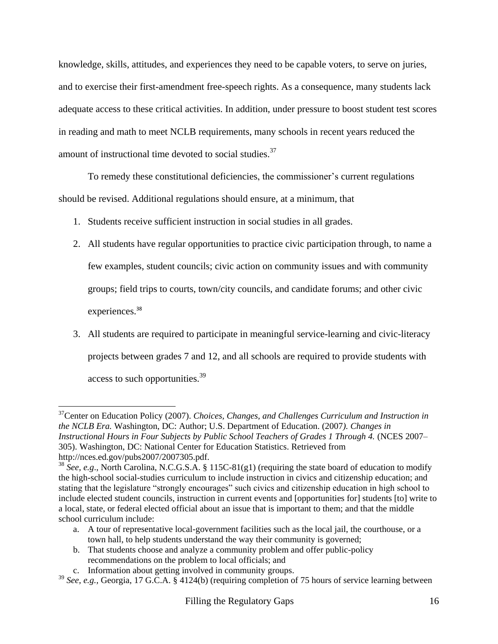knowledge, skills, attitudes, and experiences they need to be capable voters, to serve on juries, and to exercise their first-amendment free-speech rights. As a consequence, many students lack adequate access to these critical activities. In addition, under pressure to boost student test scores in reading and math to meet NCLB requirements, many schools in recent years reduced the amount of instructional time devoted to social studies.<sup>37</sup>

To remedy these constitutional deficiencies, the commissioner's current regulations should be revised. Additional regulations should ensure, at a minimum, that

- 1. Students receive sufficient instruction in social studies in all grades.
- 2. All students have regular opportunities to practice civic participation through, to name a few examples, student councils; civic action on community issues and with community groups; field trips to courts, town/city councils, and candidate forums; and other civic experiences.<sup>38</sup>
- 3. All students are required to participate in meaningful service-learning and civic-literacy projects between grades 7 and 12, and all schools are required to provide students with access to such opportunities.<sup>39</sup>

 $\overline{\phantom{a}}$ <sup>37</sup>Center on Education Policy (2007). *Choices, Changes, and Challenges Curriculum and Instruction in the NCLB Era.* Washington, DC: Author; U.S. Department of Education. (2007*). Changes in Instructional Hours in Four Subjects by Public School Teachers of Grades 1 Through 4.* (NCES 2007– 305). Washington, DC: National Center for Education Statistics. Retrieved from http://nces.ed.gov/pubs2007/2007305.pdf.

b. That students choose and analyze a community problem and offer public-policy recommendations on the problem to local officials; and

<sup>&</sup>lt;sup>38</sup> See, e.g., North Carolina, N.C.G.S.A. § 115C-81(g1) (requiring the state board of education to modify the high-school social-studies curriculum to include instruction in civics and citizenship education; and stating that the legislature "strongly encourages" such civics and citizenship education in high school to include elected student councils, instruction in current events and [opportunities for] students [to] write to a local, state, or federal elected official about an issue that is important to them; and that the middle school curriculum include:

a. A tour of representative local-government facilities such as the local jail, the courthouse, or a town hall, to help students understand the way their community is governed;

c. Information about getting involved in community groups.

<sup>&</sup>lt;sup>39</sup> See, e.g., Georgia, 17 G.C.A. § 4124(b) (requiring completion of 75 hours of service learning between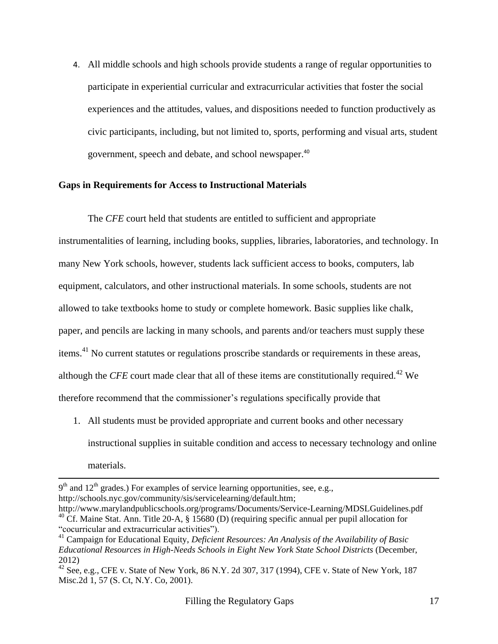4. All middle schools and high schools provide students a range of regular opportunities to participate in experiential curricular and extracurricular activities that foster the social experiences and the attitudes, values, and dispositions needed to function productively as civic participants, including, but not limited to, sports, performing and visual arts, student government, speech and debate, and school newspaper.<sup>40</sup>

#### **Gaps in Requirements for Access to Instructional Materials**

The *CFE* court held that students are entitled to sufficient and appropriate instrumentalities of learning, including books, supplies, libraries, laboratories, and technology. In many New York schools, however, students lack sufficient access to books, computers, lab equipment, calculators, and other instructional materials. In some schools, students are not allowed to take textbooks home to study or complete homework. Basic supplies like chalk, paper, and pencils are lacking in many schools, and parents and/or teachers must supply these items.<sup>41</sup> No current statutes or regulations proscribe standards or requirements in these areas, although the *CFE* court made clear that all of these items are constitutionally required.<sup>42</sup> We therefore recommend that the commissioner's regulations specifically provide that

1. All students must be provided appropriate and current books and other necessary instructional supplies in suitable condition and access to necessary technology and online materials.

 $\overline{a}$ 

<sup>9&</sup>lt;sup>th</sup> and 12<sup>th</sup> grades.) For examples of service learning opportunities, see, e.g., [http://schools.nyc.gov/community/sis/servicelearning/default.htm;](http://schools.nyc.gov/community/sis/servicelearning/default.htm)

http://www.marylandpublicschools.org/programs/Documents/Service-Learning/MDSLGuidelines.pdf <sup>40</sup> Cf. Maine Stat. Ann. Title 20-A, § 15680 (D) (requiring specific annual per pupil allocation for "cocurricular and extracurricular activities").

<sup>41</sup> Campaign for Educational Equity, *Deficient Resources: An Analysis of the Availability of Basic Educational Resources in High-Needs Schools in Eight New York State School Districts* (December, 2012)

 $42$  See, e.g., CFE v. State of New York, 86 N.Y. 2d 307, 317 (1994), CFE v. State of New York, 187 Misc.2d 1, 57 (S. Ct, N.Y. Co, 2001).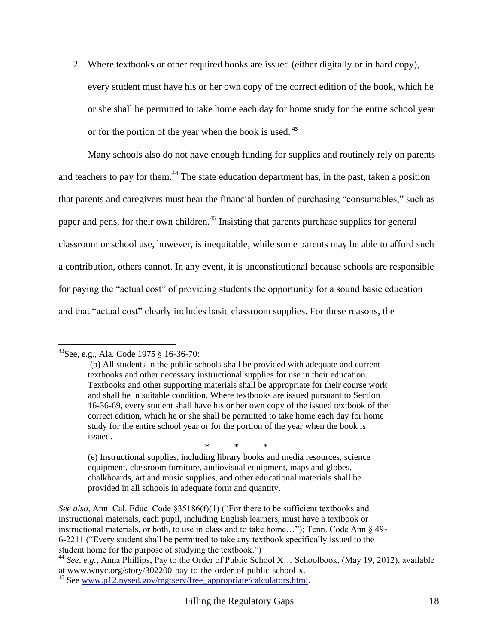2. Where textbooks or other required books are issued (either digitally or in hard copy),

every student must have his or her own copy of the correct edition of the book, which he or she shall be permitted to take home each day for home study for the entire school year or for the portion of the year when the book is used.<sup>43</sup>

Many schools also do not have enough funding for supplies and routinely rely on parents and teachers to pay for them.<sup>44</sup> The state education department has, in the past, taken a position that parents and caregivers must bear the financial burden of purchasing "consumables," such as paper and pens, for their own children.<sup>45</sup> Insisting that parents purchase supplies for general classroom or school use, however, is inequitable; while some parents may be able to afford such a contribution, others cannot. In any event, it is unconstitutional because schools are responsible for paying the "actual cost" of providing students the opportunity for a sound basic education and that "actual cost" clearly includes basic classroom supplies. For these reasons, the

 $\overline{\phantom{a}}$ 

\* \* \*

(e) Instructional supplies, including library books and media resources, science equipment, classroom furniture, audiovisual equipment, maps and globes, chalkboards, art and music supplies, and other educational materials shall be provided in all schools in adequate form and quantity.

 $^{43}$ See, e.g., Ala. Code 1975 § 16-36-70:

<sup>(</sup>b) All students in the public schools shall be provided with adequate and current textbooks and other necessary instructional supplies for use in their education. Textbooks and other supporting materials shall be appropriate for their course work and shall be in suitable condition. Where textbooks are issued pursuant to [Section](https://a.next.westlaw.com/Link/Document/FullText?findType=L&pubNum=1000002&cite=ALSTS16-36-69&originatingDoc=NC4CF5730BAD311DB8E46AD894CF6FAAB&refType=LQ&originationContext=document&transitionType=DocumentItem&contextData=(sc.UserEnteredCitation))  [16-36-69,](https://a.next.westlaw.com/Link/Document/FullText?findType=L&pubNum=1000002&cite=ALSTS16-36-69&originatingDoc=NC4CF5730BAD311DB8E46AD894CF6FAAB&refType=LQ&originationContext=document&transitionType=DocumentItem&contextData=(sc.UserEnteredCitation)) every student shall have his or her own copy of the issued textbook of the correct edition, which he or she shall be permitted to take home each day for home study for the entire school year or for the portion of the year when the book is issued.

*See also*, Ann. Cal. Educ. Code §35186(f)(1) ("For there to be sufficient textbooks and instructional materials, each pupil, including English learners, must have a textbook or instructional materials, or both, to use in class and to take home..."); Tenn. Code Ann  $\S$  49-6-2211 ("Every student shall be permitted to take any textbook specifically issued to the student home for the purpose of studying the textbook.")

<sup>44</sup> *See, e.g.,* Anna Phillips, Pay to the Order of Public School X… Schoolbook, (May 19, 2012), available at [www.wnyc.org/story/302200-pay-to-the-order-of-public-school-x.](http://www.wnyc.org/story/302200-pay-to-the-order-of-public-school-x)

<sup>45</sup> See [www.p12.nysed.gov/mgtserv/free\\_appropriate/calculators.html.](http://www.p12.nysed.gov/mgtserv/free_appropriate/calculators.html)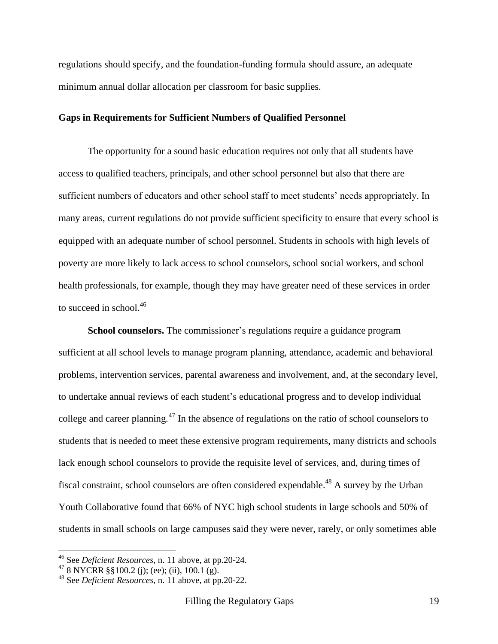regulations should specify, and the foundation-funding formula should assure, an adequate minimum annual dollar allocation per classroom for basic supplies.

#### **Gaps in Requirements for Sufficient Numbers of Qualified Personnel**

The opportunity for a sound basic education requires not only that all students have access to qualified teachers, principals, and other school personnel but also that there are sufficient numbers of educators and other school staff to meet students' needs appropriately. In many areas, current regulations do not provide sufficient specificity to ensure that every school is equipped with an adequate number of school personnel. Students in schools with high levels of poverty are more likely to lack access to school counselors, school social workers, and school health professionals, for example, though they may have greater need of these services in order to succeed in school. 46

**School counselors.** The commissioner's regulations require a guidance program sufficient at all school levels to manage program planning, attendance, academic and behavioral problems, intervention services, parental awareness and involvement, and, at the secondary level, to undertake annual reviews of each student's educational progress and to develop individual college and career planning.<sup>47</sup> In the absence of regulations on the ratio of school counselors to students that is needed to meet these extensive program requirements, many districts and schools lack enough school counselors to provide the requisite level of services, and, during times of fiscal constraint, school counselors are often considered expendable.<sup>48</sup> A survey by the Urban Youth Collaborative found that 66% of NYC high school students in large schools and 50% of students in small schools on large campuses said they were never, rarely, or only sometimes able

<sup>46</sup> See *Deficient Resources*, n. 11 above, at pp.20-24.

<sup>&</sup>lt;sup>47</sup> 8 NYCRR §§100.2 (j); (ee); (ii), 100.1 (g).

<sup>48</sup> See *Deficient Resources*, n. 11 above, at pp.20-22.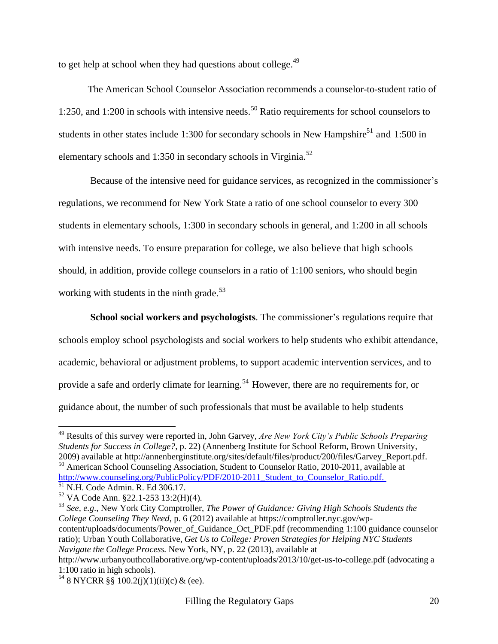to get help at school when they had questions about college.<sup>49</sup>

The American School Counselor Association recommends a counselor-to-student ratio of 1:250, and 1:200 in schools with intensive needs. <sup>50</sup> Ratio requirements for school counselors to students in other states include 1:300 for secondary schools in New Hampshire<sup>51</sup> and 1:500 in elementary schools and 1:350 in secondary schools in Virginia.<sup>52</sup>

Because of the intensive need for guidance services, as recognized in the commissioner's regulations, we recommend for New York State a ratio of one school counselor to every 300 students in elementary schools, 1:300 in secondary schools in general, and 1:200 in all schools with intensive needs. To ensure preparation for college, we also believe that high schools should, in addition, provide college counselors in a ratio of 1:100 seniors, who should begin working with students in the ninth grade.<sup>53</sup>

**School social workers and psychologists**. The commissioner's regulations require that schools employ school psychologists and social workers to help students who exhibit attendance, academic, behavioral or adjustment problems, to support academic intervention services, and to provide a safe and orderly climate for learning.<sup>54</sup> However, there are no requirements for, or guidance about, the number of such professionals that must be available to help students

l

<sup>49</sup> Results of this survey were reported in, John Garvey, *Are New York City's Public Schools Preparing Students for Success in College?*, p. 22) (Annenberg Institute for School Reform, Brown University, 2009) available at http://annenberginstitute.org/sites/default/files/product/200/files/Garvey\_Report.pdf. <sup>50</sup>American School Counseling Association, Student to Counselor Ratio, 2010-2011, available at [http://www.counseling.org/PublicPolicy/PDF/2010-2011\\_Student\\_to\\_Counselor\\_Ratio.pdf.](http://schoolcounselor.org/asca/media/asca/home/ratios10-11.pdf.) 

<sup>51</sup> N.H. Code Admin. R. Ed 306.17.

 $52 \text{ VA}$  Code Ann. §22.1-253 13:2(H)(4).

<sup>53</sup> *See, e.g*., New York City Comptroller, *The Power of Guidance: Giving High Schools Students the College Counseling They Need*, p. 6 (2012) available at https://comptroller.nyc.gov/wpcontent/uploads/documents/Power\_of\_Guidance\_Oct\_PDF.pdf (recommending 1:100 guidance counselor ratio); Urban Youth Collaborative, *Get Us to College: Proven Strategies for Helping NYC Students Navigate the College Process.* New York, NY, p. 22 (2013), available at http://www.urbanyouthcollaborative.org/wp-content/uploads/2013/10/get-us-to-college.pdf (advocating a

<sup>1:100</sup> ratio in high schools).

<sup>&</sup>lt;sup>54</sup> 8 NYCRR §§ 100.2(j)(1)(ii)(c) & (ee).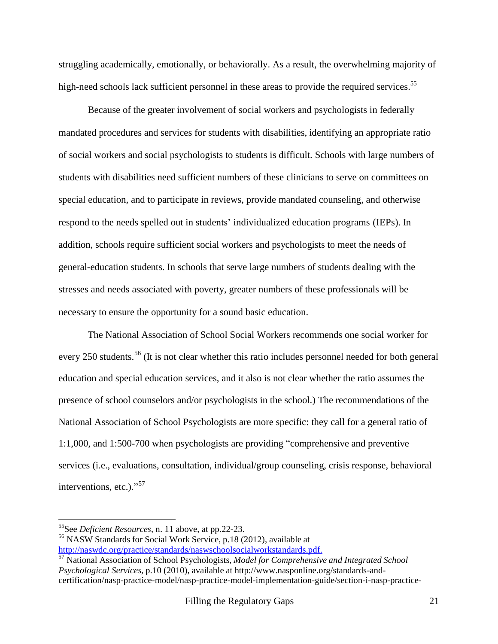struggling academically, emotionally, or behaviorally. As a result, the overwhelming majority of high-need schools lack sufficient personnel in these areas to provide the required services.<sup>55</sup>

Because of the greater involvement of social workers and psychologists in federally mandated procedures and services for students with disabilities, identifying an appropriate ratio of social workers and social psychologists to students is difficult. Schools with large numbers of students with disabilities need sufficient numbers of these clinicians to serve on committees on special education, and to participate in reviews, provide mandated counseling, and otherwise respond to the needs spelled out in students' individualized education programs (IEPs). In addition, schools require sufficient social workers and psychologists to meet the needs of general-education students. In schools that serve large numbers of students dealing with the stresses and needs associated with poverty, greater numbers of these professionals will be necessary to ensure the opportunity for a sound basic education.

The National Association of School Social Workers recommends one social worker for every 250 students.<sup>56</sup> (It is not clear whether this ratio includes personnel needed for both general education and special education services, and it also is not clear whether the ratio assumes the presence of school counselors and/or psychologists in the school.) The recommendations of the National Association of School Psychologists are more specific: they call for a general ratio of 1:1,000, and 1:500-700 when psychologists are providing "comprehensive and preventive services (i.e., evaluations, consultation, individual/group counseling, crisis response, behavioral interventions, etc.)."<sup>57</sup>

 $\overline{a}$ 

<sup>55</sup>See *Deficient Resources*, n. 11 above, at pp.22-23.

<sup>56</sup> NASW Standards for Social Work Service, p.18 (2012), available at

[http://naswdc.org/practice/standards/naswschoolsocialworkstandards.pdf.](http://naswdc.org/practice/standards/naswschoolsocialworkstandards.pdf)

<sup>57</sup> National Association of School Psychologists, *Model for Comprehensive and Integrated School Psychological Services,* p.10 (2010), available at http://www.nasponline.org/standards-andcertification/nasp-practice-model/nasp-practice-model-implementation-guide/section-i-nasp-practice-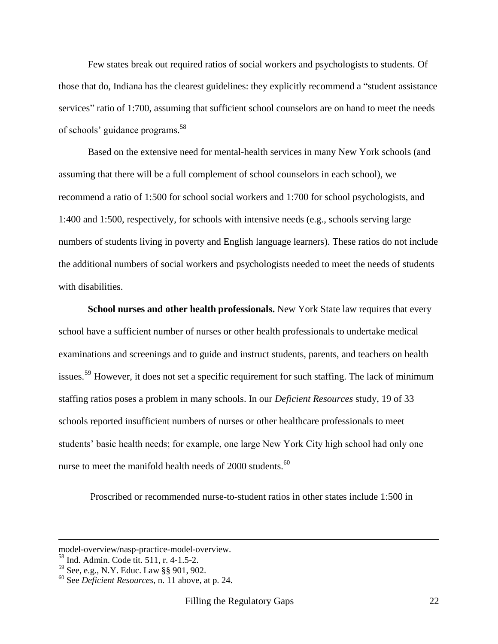Few states break out required ratios of social workers and psychologists to students. Of those that do, Indiana has the clearest guidelines: they explicitly recommend a "student assistance" services" ratio of 1:700, assuming that sufficient school counselors are on hand to meet the needs of schools' guidance programs. 58

Based on the extensive need for mental-health services in many New York schools (and assuming that there will be a full complement of school counselors in each school), we recommend a ratio of 1:500 for school social workers and 1:700 for school psychologists, and 1:400 and 1:500, respectively, for schools with intensive needs (e.g., schools serving large numbers of students living in poverty and English language learners). These ratios do not include the additional numbers of social workers and psychologists needed to meet the needs of students with disabilities.

**School nurses and other health professionals.** New York State law requires that every school have a sufficient number of nurses or other health professionals to undertake medical examinations and screenings and to guide and instruct students, parents, and teachers on health issues.<sup>59</sup> However, it does not set a specific requirement for such staffing. The lack of minimum staffing ratios poses a problem in many schools. In our *Deficient Resources* study, 19 of 33 schools reported insufficient numbers of nurses or other healthcare professionals to meet students' basic health needs; for example, one large New York City high school had only one nurse to meet the manifold health needs of 2000 students.<sup>60</sup>

Proscribed or recommended nurse-to-student ratios in other states include 1:500 in

l

model-overview/nasp-practice-model-overview.

<sup>58</sup> Ind. Admin. Code tit. 511, r. 4-1.5-2.

<sup>59</sup> See, e.g., N.Y. Educ. Law §§ 901, 902.

<sup>60</sup> See *Deficient Resources*, n. 11 above, at p. 24.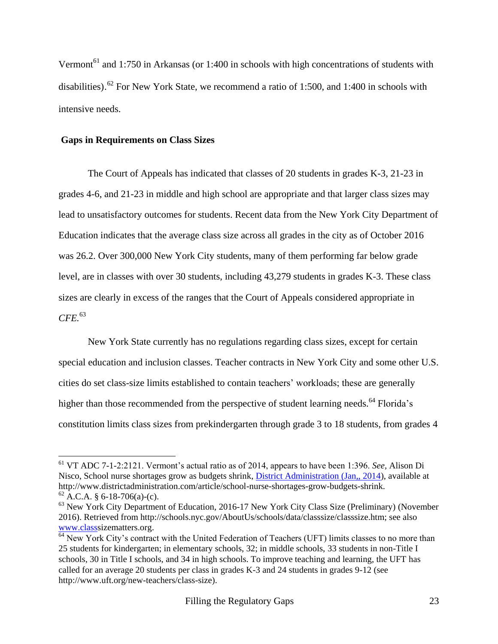Vermont<sup>61</sup> and 1:750 in Arkansas (or 1:400 in schools with high concentrations of students with disabilities).<sup>62</sup> For New York State, we recommend a ratio of 1:500, and 1:400 in schools with intensive needs.

#### **Gaps in Requirements on Class Sizes**

 $\overline{\phantom{a}}$ 

The Court of Appeals has indicated that classes of 20 students in grades K-3, 21-23 in grades 4-6, and 21-23 in middle and high school are appropriate and that larger class sizes may lead to unsatisfactory outcomes for students. Recent data from the New York City Department of Education indicates that the average class size across all grades in the city as of October 2016 was 26.2. Over 300,000 New York City students, many of them performing far below grade level, are in classes with over 30 students, including 43,279 students in grades K-3. These class sizes are clearly in excess of the ranges that the Court of Appeals considered appropriate in *CFE.* 63

New York State currently has no regulations regarding class sizes, except for certain special education and inclusion classes. Teacher contracts in New York City and some other U.S. cities do set class-size limits established to contain teachers' workloads; these are generally higher than those recommended from the perspective of student learning needs.<sup>64</sup> Florida's constitution limits class sizes from prekindergarten through grade 3 to 18 students, from grades 4

<sup>61</sup> VT ADC 7-1-2:2121. Vermont's actual ratio as of 2014, appears to have been 1:396. *See,* Alison Di Nisco, School nurse shortages grow as budgets shrink, [District Administration \(Jan,, 2014\)](http://www.districtadministration.com/issue/district-administration-january-2014), available at http://www.districtadministration.com/article/school-nurse-shortages-grow-budgets-shrink.  $62$  A.C.A. § 6-18-706(a)-(c).

<sup>&</sup>lt;sup>63</sup> New York City Department of Education, 2016-17 New York City Class Size (Preliminary) (November 2016). Retrieved from http://schools.nyc.gov/AboutUs/schools/data/classsize/classsize.htm; see also [www.classs](http://www.class/)izematters.org.

<sup>&</sup>lt;sup>64</sup> New York City's contract with the United Federation of Teachers (UFT) limits classes to no more than 25 students for kindergarten; in elementary schools, 32; in middle schools, 33 students in non-Title I schools, 30 in Title I schools, and 34 in high schools. To improve teaching and learning, the UFT has called for an average 20 students per class in grades K-3 and 24 students in grades 9-12 (see http://www.uft.org/new-teachers/class-size).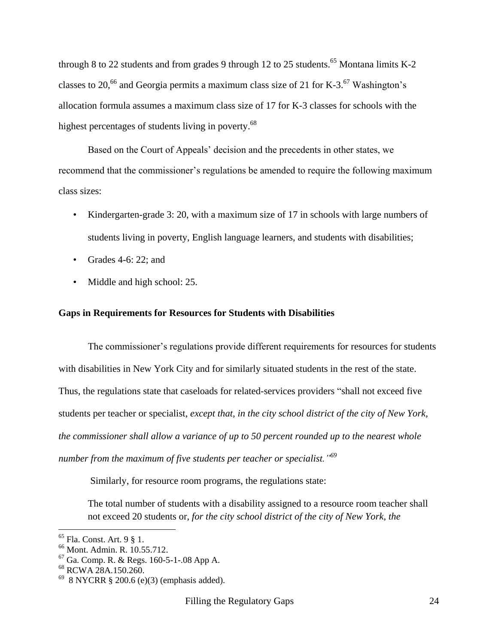through 8 to 22 students and from grades 9 through 12 to 25 students.<sup>65</sup> Montana limits K-2 classes to 20,<sup>66</sup> and Georgia permits a maximum class size of 21 for K-3.<sup>67</sup> Washington's allocation formula assumes a maximum class size of 17 for K-3 classes for schools with the highest percentages of students living in poverty.<sup>68</sup>

Based on the Court of Appeals' decision and the precedents in other states, we recommend that the commissioner's regulations be amended to require the following maximum class sizes:

- Kindergarten-grade 3: 20, with a maximum size of 17 in schools with large numbers of students living in poverty, English language learners, and students with disabilities;
- Grades 4-6: 22; and
- Middle and high school: 25.

#### **Gaps in Requirements for Resources for Students with Disabilities**

The commissioner's regulations provide different requirements for resources for students with disabilities in New York City and for similarly situated students in the rest of the state. Thus, the regulations state that caseloads for related-services providers "shall not exceed five students per teacher or specialist, *except that, in the city school district of the city of New York, the commissioner shall allow a variance of up to 50 percent rounded up to the nearest whole number from the maximum of five students per teacher or specialist."<sup>69</sup>*

Similarly, for resource room programs, the regulations state:

The total number of students with a disability assigned to a resource room teacher shall not exceed 20 students or, *for the city school district of the city of New York, the* 

<sup>65</sup> Fla. Const. Art. 9 § 1.

<sup>66</sup> Mont. Admin. R. 10.55.712.

 $67$  Ga. Comp. R. & Regs. 160-5-1-.08 App A.

<sup>68</sup> RCWA 28A.150.260.

 $698$  NYCRR § 200.6 (e)(3) (emphasis added).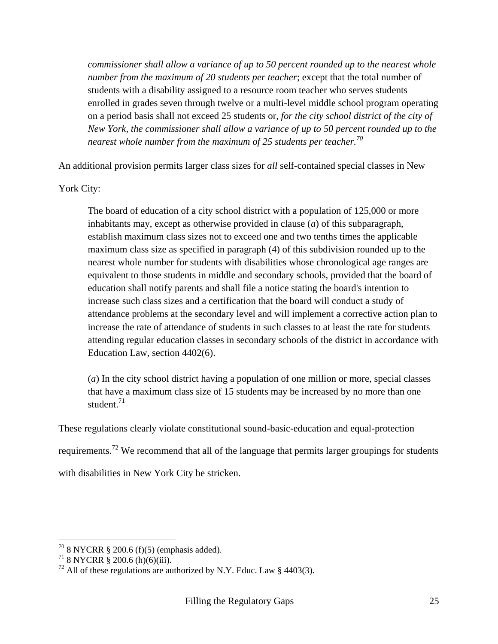*commissioner shall allow a variance of up to 50 percent rounded up to the nearest whole number from the maximum of 20 students per teacher*; except that the total number of students with a disability assigned to a resource room teacher who serves students enrolled in grades seven through twelve or a multi-level middle school program operating on a period basis shall not exceed 25 students or*, for the city school district of the city of New York, the commissioner shall allow a variance of up to 50 percent rounded up to the nearest whole number from the maximum of 25 students per teacher.<sup>70</sup>*

An additional provision permits larger class sizes for *all* self-contained special classes in New

York City:

The board of education of a city school district with a population of 125,000 or more inhabitants may, except as otherwise provided in clause (*a*) of this subparagraph, establish maximum class sizes not to exceed one and two tenths times the applicable maximum class size as specified in paragraph (4) of this subdivision rounded up to the nearest whole number for students with disabilities whose chronological age ranges are equivalent to those students in middle and secondary schools, provided that the board of education shall notify parents and shall file a notice stating the board's intention to increase such class sizes and a certification that the board will conduct a study of attendance problems at the secondary level and will implement a corrective action plan to increase the rate of attendance of students in such classes to at least the rate for students attending regular education classes in secondary schools of the district in accordance with Education Law, section 4402(6).

(*a*) In the city school district having a population of one million or more, special classes that have a maximum class size of 15 students may be increased by no more than one student. $71$ 

These regulations clearly violate constitutional sound-basic-education and equal-protection requirements.<sup>72</sup> We recommend that all of the language that permits larger groupings for students with disabilities in New York City be stricken.

 $70$  8 NYCRR § 200.6 (f)(5) (emphasis added).

<sup>71</sup> 8 NYCRR § 200.6 (h)(6)(iii).

 $^{72}$  All of these regulations are authorized by N.Y. Educ. Law § 4403(3).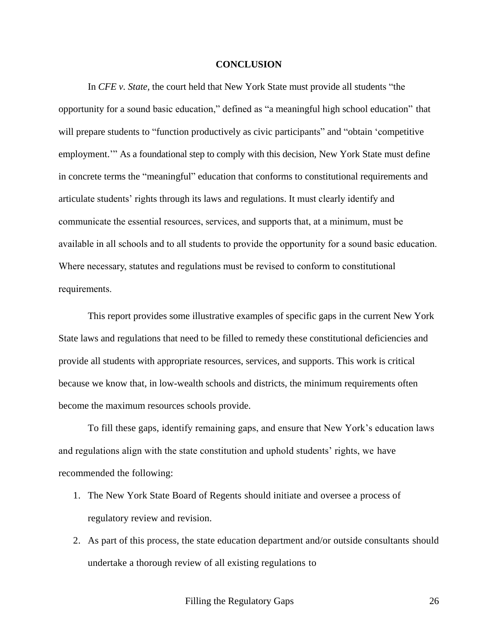#### **CONCLUSION**

In *CFE v. State*, the court held that New York State must provide all students "the opportunity for a sound basic education," defined as "a meaningful high school education" that will prepare students to "function productively as civic participants" and "obtain 'competitive employment." As a foundational step to comply with this decision, New York State must define in concrete terms the "meaningful" education that conforms to constitutional requirements and articulate students' rights through its laws and regulations. It must clearly identify and communicate the essential resources, services, and supports that, at a minimum, must be available in all schools and to all students to provide the opportunity for a sound basic education. Where necessary, statutes and regulations must be revised to conform to constitutional requirements.

This report provides some illustrative examples of specific gaps in the current New York State laws and regulations that need to be filled to remedy these constitutional deficiencies and provide all students with appropriate resources, services, and supports. This work is critical because we know that, in low-wealth schools and districts, the minimum requirements often become the maximum resources schools provide.

To fill these gaps, identify remaining gaps, and ensure that New York's education laws and regulations align with the state constitution and uphold students' rights, we have recommended the following:

- 1. The New York State Board of Regents should initiate and oversee a process of regulatory review and revision.
- 2. As part of this process, the state education department and/or outside consultants should undertake a thorough review of all existing regulations to